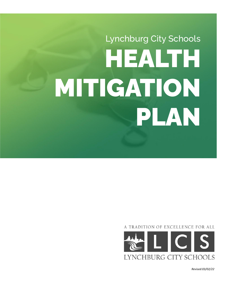# Lynchburg City Schools HEALTH MITIGATION PLAN

A TRADITION OF EXCELLENCE FOR ALL



*Revised:03/02/22*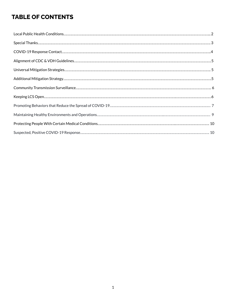# **TABLE OF CONTENTS**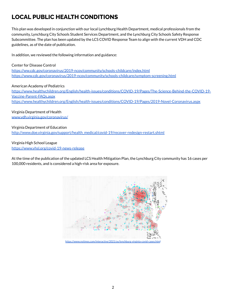# <span id="page-2-0"></span>**LOCAL PUBLIC HEALTH CONDITIONS**

This plan was developed in conjunction with our local Lynchburg Health Department, medical professionals from the community, Lynchburg City Schools Student Services Department, and the Lynchburg City Schools Safety Response Subcommittee. The plan has been updated by the LCS COVID Response Team to align with the current VDH and CDC guidelines, as of the date of publication.

In addition, we reviewed the following information and guidance:

Center for Disease Control [https://ww.cdc.gov/coronavirus/2019-ncov/community/schools-childcare/index.html](http://www.cdc.gov/coronavirus/2019-ncov/community/schools-childcare/index.html)

<https://www.cdc.gov/coronavirus/2019-ncov/community/schools-childcare/symptom-screening.html>

American Academy of Pediatrics [https://www.healthychildren.org/English/health-issues/conditions/COVID-19/Pages/The-Science-Behind-the-COVID-19-](https://www.healthychildren.org/English/health-issues/conditions/COVID-19/Pages/The-Science-Behind-the-COVID-19-Vaccine-Parent-FAQs.aspx) [Vaccine-Parent-FAQs.aspx](https://www.healthychildren.org/English/health-issues/conditions/COVID-19/Pages/The-Science-Behind-the-COVID-19-Vaccine-Parent-FAQs.aspx) <https://www.healthychildren.org/English/health-issues/conditions/COVID-19/Pages/2019-Novel-Coronavirus.aspx>

Virginia Department of Health [www.vdh.virginia.gov/coronavirus/](http://www.vdh.virginia.gov/coronavirus/)

Virginia Department of Education [http://www.doe.virginia.gov/support/health\\_medical/covid-19/recover-redesign-restart.shtml](http://www.doe.virginia.gov/support/health_medical/covid-19/recover-redesign-restart.shtml)

Virginia High School League <https://www.vhsl.org/covid-19-news-release>

At the time of the publication of the updated LCS Health Mitigation Plan, the Lynchburg City community has 16 cases per 100,000 residents, and is considered a high-risk area for exposure.



https://www.nytimes.com/interactive/2021/us/lynchburg-virginia-covid-ca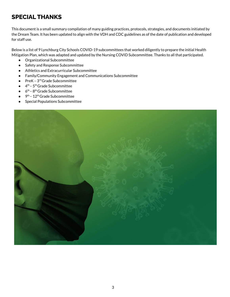# <span id="page-3-0"></span>**SPECIAL THANKS**

This document is a small summary compilation of many guiding practices, protocols, strategies, and documents initiated by the Dream Team. It has been updated to align with the VDH and CDC guidelines as of the date of publication and developed for staff use.

Below is a list of 9 Lynchburg City Schools COVID-19 subcommittees that worked diligently to prepare the initial Health Mitigation Plan, which was adapted and updated by the Nursing COVID Subcommittee. Thanks to all that participated.

- Organizational Subcommittee
- Safety and Response Subcommittee
- Athletics and Extracurricular Subcommittee
- Family/Community Engagement and Communications Subcommittee
- $\bullet$  PreK  $3^{\text{rd}}$  Grade Subcommittee
- $\bullet$  4<sup>th</sup> 5<sup>th</sup> Grade Subcommittee
- $\bullet$  6<sup>th</sup> 8<sup>th</sup> Grade Subcommittee
- $\bullet$  9<sup>th</sup> 12<sup>th</sup> Grade Subcommittee
- Special Populations Subcommittee

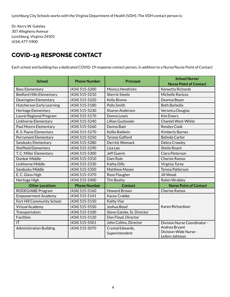Dr. Kerry W. Gateley 307 Allegheny Avenue Lynchburg, Virginia 24501 (434) 477-5900

## <span id="page-4-0"></span>**COVID-19 RESPONSE CONTACT**

Each school and building has a dedicated COVID-19 response contact person, in addition to a Nurse/Nurse Point of Contact:

|                     | <b>Principal</b>           | <b>School Nurse/</b>                   |
|---------------------|----------------------------|----------------------------------------|
| <b>Phone Number</b> |                            | <b>Nurse Point of Contact</b>          |
| (434) 515-5200      | <b>Monica Hendricks</b>    | Kenyetta Richards                      |
| (434) 515-5210      | <b>Sherrie Steele</b>      | Michelle Ravizza                       |
| (434) 515-5220      | <b>Kelly Bivens</b>        | Deanna Boyer                           |
| (434) 515-5180      | Polly Smith                | <b>Beth Barbolla</b>                   |
| (434) 515-5230      | <b>Sharon Anderson</b>     | Veronica Douglas                       |
| (434) 515-5170      | Donna Lewis                | <b>Kim Ewers</b>                       |
| (434) 515-5240      | Lillian Guzlowski          | <b>Chantel West-White</b>              |
| (434) 515-5260      | Donna Baer                 | Rondys Cook                            |
| (434) 515-5270      | Kellie Baldwin             | <b>Kimberly Barnes</b>                 |
| (434) 515-5250      | <b>Tyrone Gafford</b>      | <b>Belinda Carter</b>                  |
| (434) 515-5280      | Derrick Womack             | Debra Crawley                          |
| (434) 515-5290      | Lisa Lee                   | Sheila Roach                           |
| (434) 515-5300      | <b>Jeff Guerin</b>         | Clara Pieterson                        |
| (434) 515-5310      | Dani Rule                  | <b>Cherise Ramos</b>                   |
| (434) 515-5330      | <b>Kathy Dills</b>         | Virginia Tyree                         |
| (434) 515-5350      | <b>Matthew Mason</b>       | Teresa Patterson                       |
| (434) 515-5370      | Rose Flaugher              | Jill Wood                              |
| (434) 515-5400      | <b>Tim Beatty</b>          | Robin Wrabley                          |
| <b>Phone Number</b> | <b>Contact</b>             | <b>Nurse Point of Contact</b>          |
| (434) 515-5160      | <b>Howard Brown</b>        | <b>Cherise Ramos</b>                   |
| (434) 515-5141      | <b>Kacey Crabbe</b>        |                                        |
| (434) 515-5150      | Kathy Viar                 |                                        |
| (434) 515-5550      | Joshua Boyd                | Karen Richardson                       |
| (434) 515-5100      | Steve Gatzke, Sr. Director |                                        |
| (434) 515-5120      | Don Floyd, Director        |                                        |
| (434) 515-5501      | John Collins, Director     | Division Nurse Coordinator -           |
| (434) 515-5070      | Crystal Edwards,           | Andrea Bryant                          |
|                     | Superintendent             | Division-Wide Nurse -<br>LeAnn Johnson |
|                     |                            |                                        |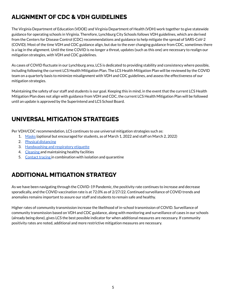# <span id="page-5-0"></span>**ALIGNMENT OF CDC & VDH GUIDELINES**

The Virginia Department of Education (VDOE) and Virginia Department of Health (VDH) work together to give statewide guidance for operating schools in Virginia. Therefore, Lynchburg City Schools follows VDH guidelines, which are derived from the Centers for Disease Control (CDC) recommendations and guidance to help mitigate the spread of SARS-CoV-2 (COVID). Most of the time VDH and CDC guidance align, but due to the ever changing guidance from CDC, sometimes there is a lag in the alignment. Until the time COVID is no longer a threat, updates (such as this one) are necessary to realign our mitigation strategies, with VDH and CDC guidelines.

As cases of COVID fluctuate in our Lynchburg area, LCS is dedicated to providing stability and consistency where possible, including following the current LCS Health Mitigation Plan. The LCS Health Mitigation Plan will be reviewed by the COVID team on a quarterly basis to minimize misalignment with VDH and CDC guidelines, and assess the effectiveness of our mitigation strategies.

Maintaining the safety of our staff and students is our goal. Keeping this in mind, in the event that the current LCS Health Mitigation Plan does not align with guidance from VDH and CDC, the current LCS Health Mitigation Plan will be followed until an update is approved by the Superintend and LCS School Board.

# <span id="page-5-1"></span>**UNIVERSAL MITIGATION STRATEGIES**

Per VDH/CDC recommendation, LCS continues to use universal mitigation strategies such as:

- 1. [Masks](https://www.cdc.gov/coronavirus/2019-ncov/community/schools-childcare/cloth-face-cover.html) (optional but encouraged for students, as of March 1, 2022 and staff on March 2, 2022)
- 2. Physical [distancing](https://www.cdc.gov/coronavirus/2019-ncov/prevent-getting-sick/social-distancing.html)
- 3. [Handwashing](https://www.cdc.gov/handwashing/when-how-handwashing.html) and respiratory etiquette
- 4. [Cleaning](https://www.cdc.gov/coronavirus/2019-ncov/community/clean-disinfect/index.html) and maintaining healthy facilities
- 5. [Contact](https://www.cdc.gov/coronavirus/2019-ncov/php/open-america/contact-tracing-resources.html) tracing in combination with isolation and quarantine

# <span id="page-5-2"></span>**ADDITIONAL MITIGATION STRATEGY**

As we have been navigating through the COVID-19 Pandemic, the positivity rate continues to increase and decrease sporadically, and the COVID vaccination rate is at 72.0% as of 2/27/22. Continued surveillance of COVID trends and anomalies remains important to assure our staff and students to remain safe and healthy.

Higher rates of community transmission increase the likelihood of in-school transmission of COVID. Surveillance of community transmission based on VDH and CDC guidance, along with monitoring and surveillance of cases in our schools (already being done), gives LCS the best possible indicator for when additional measures are necessary. If community positivity rates are noted, additional and more restrictive mitigation measures are necessary.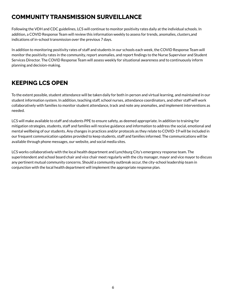# <span id="page-6-0"></span>**COMMUNITY TRANSMISSION SURVEILLANCE**

Following the VDH and CDC guidelines, LCS will continue to monitor positivity rates daily at the individual schools. In addition, a COVID Response Team will review this information weekly to assess for trends, anomalies, clusters,and indications of in-school transmission over the previous 7 days.

In addition to monitoring positivity rates of staff and students in our schools each week, the COVID Response Team will monitor the positivity rates in the community, report anomalies, and report findings to the Nurse Supervisor and Student Services Director. The COVID Response Team will assess weekly for situational awareness and to continuously inform planning and decision-making.

# <span id="page-6-1"></span>**KEEPING LCS OPEN**

To the extent possible, student attendance will be taken daily for both in-person and virtual learning, and maintained in our student information system. In addition, teaching staff, school nurses, attendance coordinators, and other staff will work collaboratively with families to monitor student attendance, track and note any anomalies, and implement interventions as needed.

LCS will make available to staff and students PPE to ensure safety, as deemed appropriate. In addition to training for mitigation strategies, students, staff and families will receive guidance and information to address the social, emotional and mental wellbeing of our students. Any changes in practices and/or protocols as they relate to COVID-19 will be included in our frequent communication updates provided to keep students, staff and families informed. The communications will be available through phone messages, our website, and social media sites.

LCS works collaboratively with the local health department and Lynchburg City's emergency response team. The superintendent and school board chair and vice chair meet regularly with the city manager, mayor and vice mayor to discuss any pertinent mutual community concerns. Should a community outbreak occur, the city-school leadership team in conjunction with the local health department will implement the appropriate response plan.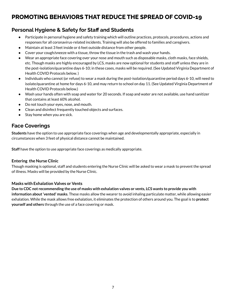# <span id="page-7-0"></span>**PROMOTING BEHAVIORS THAT REDUCE THE SPREAD OF COVID-19**

## **Personal Hygiene & Safety for Staff and Students**

- Participate in personal hygiene and safety training which will outline practices, protocols, procedures, actions and responses for all coronavirus-related incidents. Training will also be offered to families and caregivers.
- Maintain at least 3 feet inside or 6 feet outside distance from other people.
- Cover your cough/sneeze with a tissue, throw the tissue in the trash and wash your hands.
- Wear an appropriate face covering over your nose and mouth such as disposable masks, cloth masks, face shields, etc. Though masks are highly encouraged by LCS, masks are now optional for students and staff unless they are in the post-isolation/quarantine days 6-10; in these cases, masks will be required. (See Updated Virginia Department of Health COVID Protocols below. )
- Individuals who cannot (or refuse) to wear a mask during the post-isolation/quarantine period days 6-10, will need to isolate/quarantine at home for days 6-10, and may return to school on day 11. (See Updated Virginia Department of Health COVID Protocols below.)
- Wash your hands often with soap and water for 20 seconds. If soap and water are not available, use hand sanitizer that contains at least 60% alcohol.
- Do not touch your eyes, nose, and mouth.
- Clean and disinfect frequently touched objects and surfaces.
- Stay home when you are sick.

## **Face Coverings**

**Students** have the option to use appropriate face coverings when age and developmentally appropriate, especially in circumstances when 3 feet of physical distance cannot be maintained.

**Staff** have the option to use appropriate face coverings as medically appropriate.

#### **Entering the Nurse Clinic**

Though masking is optional, staff and students entering the Nurse Clinic will be asked to wear a mask to prevent the spread of illness. Masks will be provided by the Nurse Clinic.

#### **Masks with Exhalation Valves or Vents**

Due to CDC not recommending the use of masks with exhalation valves or vents, LCS wants to provide you with **information about'vented' masks**. These masks allow the wearer to avoid inhaling particulate matter, while allowing easier exhalation. While the mask allows free exhalation, it eliminates the protection of others around you. The goal is to **protect yourself and others** through the use of a face covering or mask.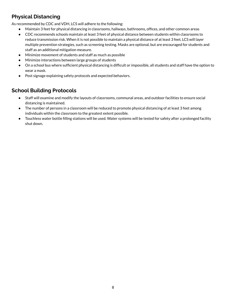## **Physical Distancing**

As recommended by CDC and VDH, LCS will adhere to the following:

- Maintain 3 feet for physical distancing in classrooms, hallways, bathrooms, offices, and other common areas
- CDC recommends schools maintain at least 3 feet of physical distance between students within classrooms to reduce transmission risk. When it is not possible to maintain a physical distance of at least 3 feet, LCS will layer multiple prevention strategies, such as screening testing. Masks are optional, but are encouraged for students and staff as an additional mitigation measure.
- Minimize movement of students and staff as much as possible
- Minimize interactions between large groups of students
- On a school bus where sufficient physical distancing is difficult or impossible, all students and staff have the option to wear a mask.
- Post signage explaining safety protocols and expected behaviors.

## **School Building Protocols**

- Staff will examine and modify the layouts of classrooms, communal areas, and outdoor facilities to ensure social distancing is maintained.
- The number of persons in a classroom will be reduced to promote physical distancing of at least 3 feet among individuals within the classroom to the greatest extent possible.
- Touchless water bottle filling stations will be used. Water systems will be tested for safety after a prolonged facility shut down.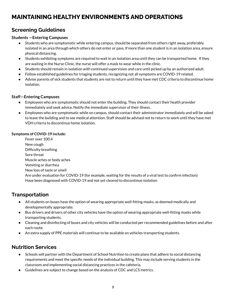# <span id="page-9-0"></span>**MAINTAINING HEALTHY ENVIRONMENTS AND OPERATIONS**

## **Screening Guidelines**

#### **Students —Entering Campuses**

- Students who are symptomatic while entering campus, should be separated from others right away, preferably isolated in an area through which others do not enter or pass. If more than one student is in an isolation area, ensure physical distancing.
- Students exhibiting symptoms are required to wait in an isolation area until they can be transported home. If they are waiting in the Nurse Clinic, the nurse will offer a mask to wear while in the clinic.
- Students should remain in isolation with continued supervision and care until picked up by an authorized adult.
- Follow established guidelines for triaging students, recognizing not all symptoms are COVID-19 related.
- Advise parents of sick students that students are not to return until they have met CDC criteria to discontinue home isolation.

#### **Staff—Entering Campuses**

- Employees who are symptomatic should not enter the building. They should contact their health provider immediately and seek advice. Notify the immediate supervisor of their illness.
- Employees who are symptomatic while on campus, should contact their administrator immediately and will be asked to leave the building and to see medical attention. Staff should be advised not to return to work until they have met VDH criteria to discontinue home isolation.

#### **Symptoms of COVID-19 include:**

Fever over 100.4 New cough Difficulty breathing Sore throat Muscle aches or body aches Vomiting or diarrhea New loss of taste or smell Are under evaluation for COVID-19 (for example, waiting for the results of a viral test to confirm infection) Have been diagnosed with COVID-19 and not yet cleared to discontinue isolation

## **Transportation**

- All students on buses have the option of wearing appropriate well-fitting masks, as deemed medically and developmentally appropriate.
- Bus drivers and drivers of other city vehicles have the option of wearing appropriate well-fitting masks while transporting students.
- Cleaning and disinfecting of buses and city vehicles will be conducted per recommended guidelines before and after each route.
- An extra supply of PPE materials will continue to be available on vehicles transporting students.

## **Nutrition Services**

- Schools will partner with the Department of School Nutrition to create plans that adhere to social distancing requirements and meet the specific needs of the individual building. This may include serving students in the classroom and implementing social distancing practices in the cafeteria.
- Guidelines are subject to change based on the analysis of CDC and LCS metrics.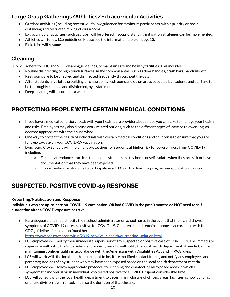## **Large Group Gatherings/Athletics/Extracurricular Activities**

- Outdoor activities (including recess) will follow guidance for maximum participants, with a priority on social distancing and restricted mixing of classrooms.
- Extracurricular activities (such as clubs) will be offered if social distancing mitigation strategies can be implemented.
- Athletics will follow LCS guidelines. Please see the information table on page 13.
- Field trips will resume.

## **Cleaning**

LCS will adhere to CDC and VDH cleaning guidelines, to maintain safe and healthy facilities. This includes:

- Routine disinfecting of high touch surfaces, in the common areas, such as door handles, crash bars, handrails, etc.
- Restrooms are to be checked and disinfected frequently throughout the day.
- After students have left the building all classrooms, restrooms and other areas occupied by students and staff are to be thoroughly cleaned and disinfected, by a staff member.
- Deep cleaning will occur once a week.

# <span id="page-10-0"></span>**PROTECTING PEOPLE WITH CERTAIN MEDICAL CONDITIONS**

- If you have a medical condition, speak with your healthcare provider about steps you can take to manage your health and risks. Employees may also discuss work related options, such as the different types of leave or teleworking, as deemed appropriate with their supervisor.
- One way to protect the health of individuals with certain medical conditions and children is to ensure that you are fully up-to-date on your COVID-19 vaccination.
- Lynchburg City Schools will implement protections for students at higher risk for severe illness from COVID-19, including:
	- Flexible attendance practices that enable students to stay home or self-isolate when they are sick or have documentation that they have been exposed.
	- Opportunities for students to participate in a 100% virtual learning program via application process.

# <span id="page-10-1"></span>**SUSPECTED, POSITIVE COVID-19 RESPONSE**

#### **Reporting/Notification and Response**

#### Individuals who are up-to-date on COVID-19 vaccination OR had COVID in the past 3 months do NOT need to self **quarantine after a COVID exposure or travel.**

● Parents/guardians should notify their school administrator or school nurse in the event that their child shows symptoms of COVID-19 or tests positive for COVID-19. Children should remain at home in accordance with the CDC guidelines for isolation found here:

<https://www.cdc.gov/coronavirus/2019-ncov/your-health/quarantine-isolation.html>

- LCS employees will notify their immediate supervisor of any suspected or positive case of COVID-19. The immediate supervisor will notify the Superintendent or designee who will notify the local health department, if needed, **while maintaining confidentiality in accordance with the Americans with Disabilities Act and HIPAA rules.**
- LCS will work with the local health department to institute modified contact tracing and notify any employees and parents/guardians of any student who may have been exposed based on the local health department criteria.
- LCS employees will follow appropriate protocols for cleaning and disinfecting all exposed areas in which a symptomatic individual or an individual who tested positive for COVID-19 spent considerable time.
- LCS will consult with the local health department to determine if closure of offices, areas, facilities, school building, or entire division is warranted, and if so the duration of that closure.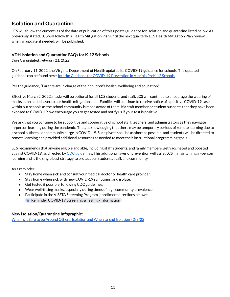## **Isolation and Quarantine**

LCS will follow the current (as of the date of publication of this update) guidance for isolation and quarantine listed below. As previously stated, LCS will follow this Health Mitigation Plan until the next quarterly LCS Health Mitigation Plan review when an update, if needed, will be published.

#### **VDH Isolation and Quarantine FAQs for K-12 Schools**

*Date last updated: February 11, 2022*

On February 11, 2022, the Virginia Department of Health updated its COVID-19 guidance for schools. The updated guidance can be found here: Interim Guidance for COVID-19 [Prevention](https://www.vdh.virginia.gov/content/uploads/sites/182/2021/03/Interim-Guidance-to-K-12-School-Reopening.pdf) in Virginia PreK-12 Schools.

Per the guidance, "Parents are in charge of their children's health, wellbeing and education."

Effective March 2, 2022, masks will be optional for all LCS students and staff. LCS will continue to encourage the wearing of masks as an added layer to our health mitigation plan. Families will continue to receive notice of a positive COVID-19 case within our schools as the school community is made aware of them. If a staff member or student suspects that they have been exposed to COVID-19, we encourage you to get tested and notify us if your test is positive.

We ask that you continue to be supportive and cooperative of school staff, teachers, and administrators as they navigate in-person learning during the pandemic. Thus, acknowledging that there may be temporary periods of remote learning due to a school outbreak or community surge in COVID-19. Such pivots shall be as short as possible, and students will be directed to remote learning and provided additional resources as needed to meet their instructional programming/goals.

LCS recommends that anyone eligible and able, including staff, students, and family members, get vaccinated and boosted against COVID-19, as directed by CDC [guidelines](https://www.cdc.gov/coronavirus/2019-ncov/community/schools-childcare/k-12-guidance.html#:~:text=CDC%20recommends%20that%20all%20teachers,who%20are%20not%20fully%20vaccinated). This additional layer of prevention will assist LCS in maintaining in-person learning and is the single best strategy to protect our students, staff, and community.

As a reminder:

- Stay home when sick and consult your medical doctor or health care provider.
- Stay home when sick with new COVID-19 symptoms, and isolate.
- Get tested if possible, following CDC guidelines.
- Wear well-fitting masks, especially during times of high community prevalence.
- Participate in the ViSSTA Screening Program (enrollment directions below):
	- **E** Reminder COVID-19 Screening & Testing-[Information](https://docs.google.com/document/d/1qDZet3bEzucCrw_f2w1CubQ-2MelLLRjXzbyo0Q_goI/edit)

#### **New Isolation/Quarantine Infographic:**

When is it Safe to be Around Others: [Isolation](https://www.vdh.virginia.gov/content/uploads/sites/182/2020/04/Home-IsolationQuarantine-Release-Graphic_FINAL.pdf) and When to End Isolation - 2/3/22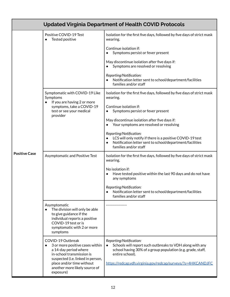| <b>Updated Virginia Department of Health COVID Protocols</b> |                                                                                                                                                                                                                                         |                                                                                                                                                                                                                                                    |  |  |
|--------------------------------------------------------------|-----------------------------------------------------------------------------------------------------------------------------------------------------------------------------------------------------------------------------------------|----------------------------------------------------------------------------------------------------------------------------------------------------------------------------------------------------------------------------------------------------|--|--|
|                                                              | Positive COVID-19 Test<br>Tested positive                                                                                                                                                                                               | Isolation for the first five days, followed by five days of strict mask<br>wearing.                                                                                                                                                                |  |  |
| <b>Positive Case</b>                                         |                                                                                                                                                                                                                                         | Continue isolation if:<br>Symptoms persist or fever present                                                                                                                                                                                        |  |  |
|                                                              |                                                                                                                                                                                                                                         | May discontinue isolation after five days if:<br>Symptoms are resolved or resolving                                                                                                                                                                |  |  |
|                                                              |                                                                                                                                                                                                                                         | Reporting/Notification:<br>Notification letter sent to school/department/facilities<br>families and/or staff                                                                                                                                       |  |  |
|                                                              | Symptomatic with COVID-19 Like<br>Symptoms<br>If you are having 2 or more<br>$\bullet$                                                                                                                                                  | Isolation for the first five days, followed by five days of strict mask<br>wearing.                                                                                                                                                                |  |  |
|                                                              | symptoms, take a COVID-19<br>test or see your medical<br>provider                                                                                                                                                                       | Continue isolation if:<br>Symptoms persist or fever present                                                                                                                                                                                        |  |  |
|                                                              |                                                                                                                                                                                                                                         | May discontinue isolation after five days if:<br>Your symptoms are resolved or resolving                                                                                                                                                           |  |  |
|                                                              |                                                                                                                                                                                                                                         | Reporting/Notification:<br>LCS will only notify if there is a positive COVID-19 test<br>Notification letter sent to school/department/facilities<br>families and/or staff                                                                          |  |  |
|                                                              | Asymptomatic and Positive Test                                                                                                                                                                                                          | Isolation for the first five days, followed by five days of strict mask<br>wearing.                                                                                                                                                                |  |  |
|                                                              |                                                                                                                                                                                                                                         | No isolation if:<br>Have tested positive within the last 90 days and do not have<br>any symptoms                                                                                                                                                   |  |  |
|                                                              |                                                                                                                                                                                                                                         | Reporting/Notification:<br>Notification letter sent to school/department/facilities<br>families and/or staff                                                                                                                                       |  |  |
|                                                              | Asymptomatic<br>The division will only be able<br>$\bullet$<br>to give guidance if the<br>individual reports a positive<br>COVID-19 test or is<br>symptomatic with 2 or more<br>symptoms                                                |                                                                                                                                                                                                                                                    |  |  |
|                                                              | COVID-19 Outbreak<br>3 or more positive cases within<br>$\bullet$<br>a 14-day period where<br>in-school transmission is<br>suspected (i.e. linked in person,<br>place and/or time without<br>another more likely source of<br>exposure) | Reporting/Notification:<br>Schools will report such outbreaks to VDH along with any<br>$\bullet$<br>school having 30% of a group population (e.g. grade, staff,<br>entire school).<br>https://redcap.vdh.virginia.gov/redcap/surveys/?s=4HKCANDJFC |  |  |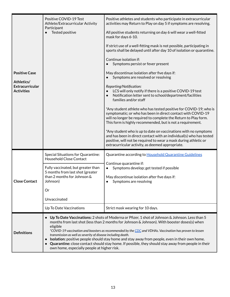| <b>Positive Case</b><br>Athletics/<br><b>Extracurricular</b><br><b>Activities</b> | Positive COVID-19 Test<br>Athlete/Extracurricular Activity<br>Participant<br>Tested positive                                                                                                                                                                                                                                                                                                                                                                                                                                                                                                                                                                              | Positive athletes and students who participate in extracurricular<br>activities may Return to Play on day 5 if symptoms are resolving.<br>All positive students returning on day 6 will wear a well-fitted<br>mask for days 6-10.<br>If strict use of a well-fitting mask is not possible, participating in<br>sports shall be delayed until after day 10 of isolation or quarantine.<br>Continue isolation if:<br>Symptoms persist or fever present<br>May discontinue isolation after five days if:<br>Symptoms are resolved or resolving<br>Reporting/Notification:<br>LCS will only notify if there is a positive COVID-19 test<br>Notification letter sent to school/department/facilities<br>families and/or staff<br>*Any student athlete who has tested positive for COVID-19; who is<br>symptomatic; or who has been in direct contact with COVID-19<br>will no longer be required to complete the Return to Play form.<br>This form is highly recommended, but is not a requirement.<br>*Any student who is up to date on vaccinations with no symptoms<br>and has been in direct contact with an individual(s) who has tested |  |
|-----------------------------------------------------------------------------------|---------------------------------------------------------------------------------------------------------------------------------------------------------------------------------------------------------------------------------------------------------------------------------------------------------------------------------------------------------------------------------------------------------------------------------------------------------------------------------------------------------------------------------------------------------------------------------------------------------------------------------------------------------------------------|------------------------------------------------------------------------------------------------------------------------------------------------------------------------------------------------------------------------------------------------------------------------------------------------------------------------------------------------------------------------------------------------------------------------------------------------------------------------------------------------------------------------------------------------------------------------------------------------------------------------------------------------------------------------------------------------------------------------------------------------------------------------------------------------------------------------------------------------------------------------------------------------------------------------------------------------------------------------------------------------------------------------------------------------------------------------------------------------------------------------------------------|--|
|                                                                                   |                                                                                                                                                                                                                                                                                                                                                                                                                                                                                                                                                                                                                                                                           | positive, will not be required to wear a mask during athletic or<br>extracurricular activity, as deemed appropriate.                                                                                                                                                                                                                                                                                                                                                                                                                                                                                                                                                                                                                                                                                                                                                                                                                                                                                                                                                                                                                     |  |
| <b>Close Contact</b>                                                              | Special Situations for Quarantine:<br><b>Household Close Contact</b>                                                                                                                                                                                                                                                                                                                                                                                                                                                                                                                                                                                                      | Quarantine according to Household Quarantine Guidelines<br>Continue quarantine if:<br>Symptoms develop; get tested if possible<br>May discontinue isolation after five days if:<br>Symptoms are resolving                                                                                                                                                                                                                                                                                                                                                                                                                                                                                                                                                                                                                                                                                                                                                                                                                                                                                                                                |  |
|                                                                                   | Fully vaccinated, but greater than<br>5 months from last shot (greater<br>than 2 months for Johnson &<br>Johnson)<br>Or                                                                                                                                                                                                                                                                                                                                                                                                                                                                                                                                                   |                                                                                                                                                                                                                                                                                                                                                                                                                                                                                                                                                                                                                                                                                                                                                                                                                                                                                                                                                                                                                                                                                                                                          |  |
|                                                                                   | Unvaccinated                                                                                                                                                                                                                                                                                                                                                                                                                                                                                                                                                                                                                                                              |                                                                                                                                                                                                                                                                                                                                                                                                                                                                                                                                                                                                                                                                                                                                                                                                                                                                                                                                                                                                                                                                                                                                          |  |
|                                                                                   | Up To Date Vaccinations                                                                                                                                                                                                                                                                                                                                                                                                                                                                                                                                                                                                                                                   | Strict mask wearing for 10 days.                                                                                                                                                                                                                                                                                                                                                                                                                                                                                                                                                                                                                                                                                                                                                                                                                                                                                                                                                                                                                                                                                                         |  |
| <b>Definitions</b>                                                                | Up To Date Vaccinations: 2 shots of Moderna or Pfizer, 1 shot of Johnson & Johnson. Less than 5<br>$\bullet$<br>months from last shot (less than 2 months for Johnson & Johnson). With booster doses(s) when<br>eligible<br>*COVID-19 vaccination and boosters as recommended by the CDC and VDHAs. Vaccination has proven to lessen<br>transmission as well as severity of disease including death.<br>Isolation: positive people should stay home and stay away from people, even in their own home.<br>$\bullet$<br>Quarantine: close contact should stay home. If possible, they should stay away from people in their<br>own home, especially people at higher risk. |                                                                                                                                                                                                                                                                                                                                                                                                                                                                                                                                                                                                                                                                                                                                                                                                                                                                                                                                                                                                                                                                                                                                          |  |